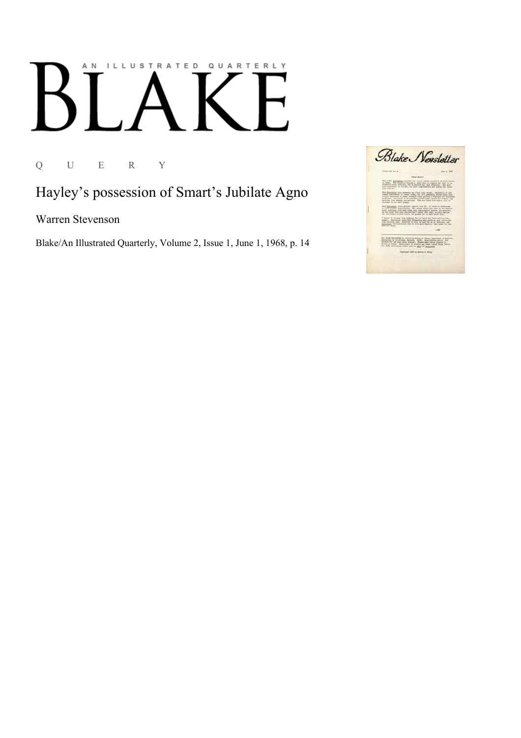# AN ILLUSTRATED QUARTERLY

Q U E R Y

#### Hayley's possession of Smart's Jubilate Agno

Warren Stevenson

Blake/An Illustrated Quarterly, Volume 2, Issue 1, June 1, 1968, p. 14